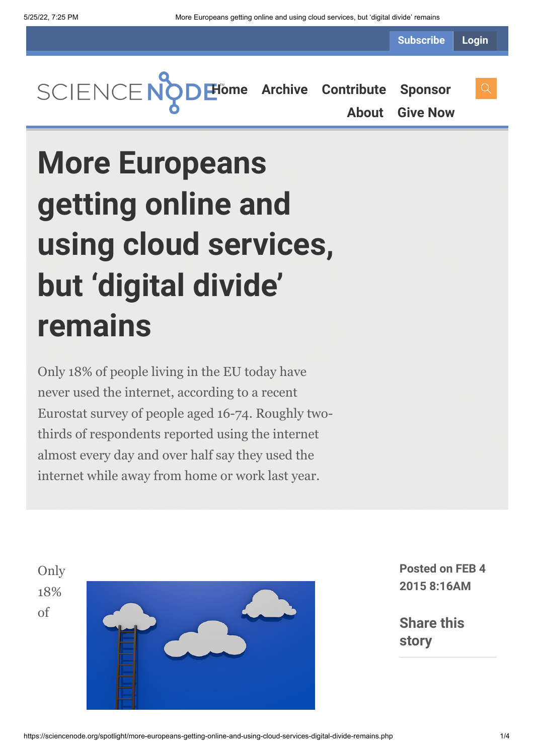**Subscribe Login**

**[Home](https://sciencenode.org/) [Archive](https://sciencenode.org/archive/index.php) [Contribute](https://sciencenode.org/contribute/index.php) [Sponsor](https://sciencenode.org/sponsor/index.php)**

**[About](https://sciencenode.org/about/index.php) [Give Now](https://sciencenode.org/donate/index.php)**

# **More Europeans getting online and using cloud services, but 'digital divide' remains**

Only 18% of people living in the EU today have never used the internet, according to a recent Eurostat survey of people aged 16-74. Roughly twothirds of respondents reported using the internet almost every day and over half say they used the internet while away from home or work last year.

Only 18% of



**Posted on FEB 4 2015 8:16AM**

**Share this story**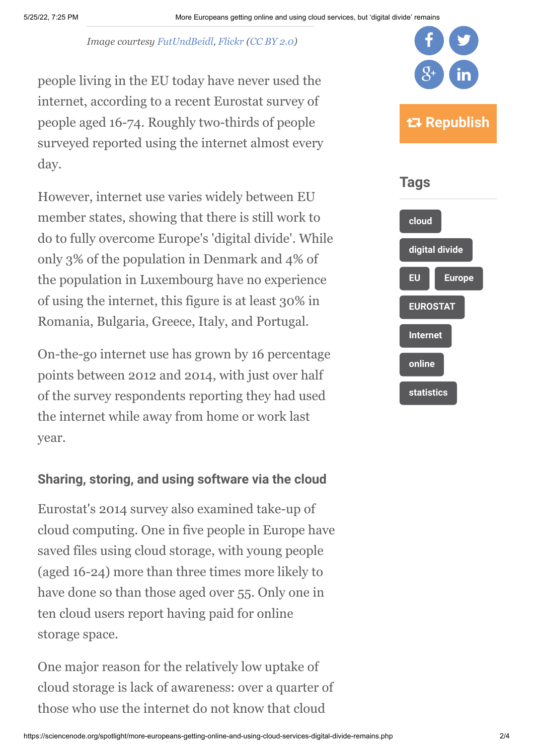*Image courtesy [FutUndBeidl,](https://www.flickr.com/photos/61423903@N06/) [Flickr](https://flic.kr/p/ena2yU) ([CC BY 2.0\)](https://creativecommons.org/licenses/by/2.0/)*

people living in the EU today have never used the internet, according to a recent Eurostat survey of people aged 16-74. Roughly two-thirds of people surveyed reported using the internet almost every day.

However, internet use varies widely between EU member states, showing that there is still work to do to fully overcome Europe's 'digital divide'. While only 3% of the population in Denmark and 4% of the population in Luxembourg have no experience of using the internet, this figure is at least 30% in Romania, Bulgaria, Greece, Italy, and Portugal.

On-the-go internet use has grown by 16 percentage points between 2012 and 2014, with just over half of the survey respondents reporting they had used the internet while away from home or work last year.

## **Sharing, storing, and using software via the cloud**

Eurostat's 2014 survey also examined take-up of cloud computing. One in five people in Europe have saved files using cloud storage, with young people (aged 16-24) more than three times more likely to have done so than those aged over 55. Only one in ten cloud users report having paid for online storage space.

One major reason for the relatively low uptake of cloud storage is lack of awareness: over a quarter of those who use the internet do not know that cloud



**[online](https://sciencenode.org/tag/?tag=online)**

**[statistics](https://sciencenode.org/tag/?tag=statistics)**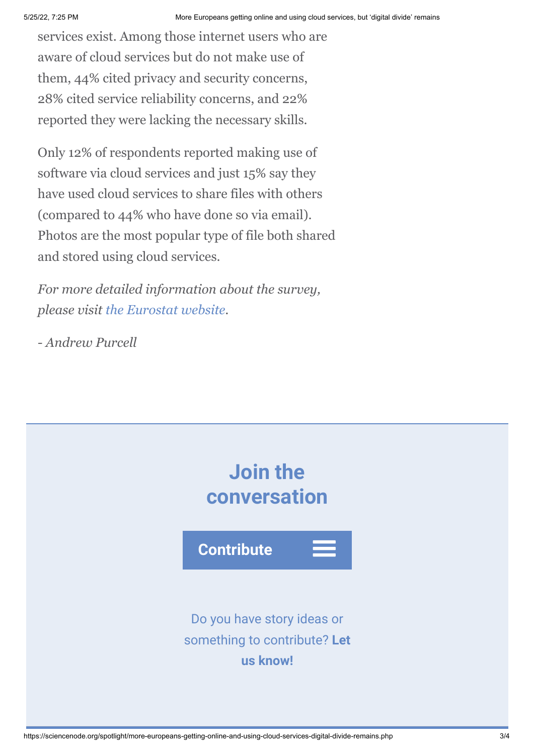services exist. Among those internet users who are aware of cloud services but do not make use of them, 44% cited privacy and security concerns, 28% cited service reliability concerns, and 22% reported they were lacking the necessary skills.

Only 12% of respondents reported making use of software via cloud services and just 15% say they have used cloud services to share files with others (compared to 44% who have done so via email). Photos are the most popular type of file both shared and stored using cloud services.

*For more detailed information about the survey, please visit [the Eurostat website](http://ec.europa.eu/eurostat/statistics-explained/index.php/Internet_and_cloud_services_-_statistics_on_the_use_by_individuals).*

*- Andrew Purcell*